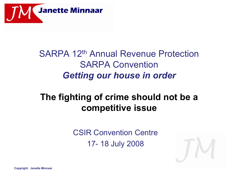

## SARPA 12th Annual Revenue Protection SARPA Convention *Getting our house in order*

## **The fighting of crime should not be a competitive issue**

CSIR Convention Centre 17- 18 July 2008

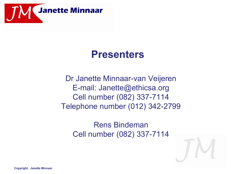

## **Presenters**

Dr Janette Minnaar-van Veijeren E-mail: Janette@ethicsa.org Cell number (082) 337-7114 Telephone number (012) 342-2799

> Rens Bindeman Cell number (082) 337-7114

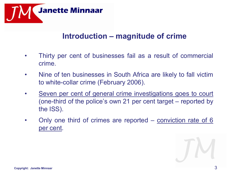

#### **Introduction – magnitude of crime**

- Thirty per cent of businesses fail as a result of commercial crime.
- Nine of ten businesses in South Africa are likely to fall victim to white-collar crime (February 2006).
- Seven per cent of general crime investigations goes to court (one-third of the police's own 21 per cent target – reported by the ISS).
- Only one third of crimes are reported conviction rate of 6 per cent.

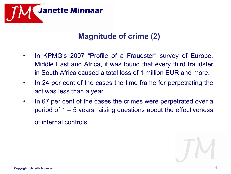

#### **Magnitude of crime (2)**

- In KPMG's 2007 "Profile of a Fraudster" survey of Europe, Middle East and Africa, it was found that every third fraudster in South Africa caused a total loss of 1 million EUR and more.
- In 24 per cent of the cases the time frame for perpetrating the act was less than a year.
- In 67 per cent of the cases the crimes were perpetrated over a period of 1 – 5 years raising questions about the effectiveness of internal controls.

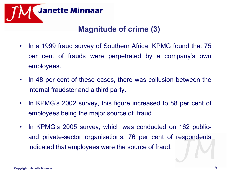

#### **Magnitude of crime (3)**

- In a 1999 fraud survey of Southern Africa, KPMG found that 75 per cent of frauds were perpetrated by a company's own employees.
- In 48 per cent of these cases, there was collusion between the internal fraudster and a third party.
- In KPMG's 2002 survey, this figure increased to 88 per cent of employees being the major source of fraud.
- In KPMG's 2005 survey, which was conducted on 162 publicand private-sector organisations, 76 per cent of respondents indicated that employees were the source of fraud.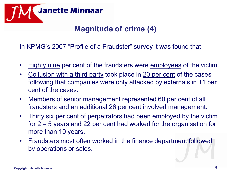

### **Magnitude of crime (4)**

In KPMG's 2007 "Profile of a Fraudster" survey it was found that:

- Eighty nine per cent of the fraudsters were employees of the victim.
- Collusion with a third party took place in 20 per cent of the cases following that companies were only attacked by externals in 11 per cent of the cases.
- Members of senior management represented 60 per cent of all fraudsters and an additional 26 per cent involved management.
- Thirty six per cent of perpetrators had been employed by the victim for 2 – 5 years and 22 per cent had worked for the organisation for more than 10 years.
- Fraudsters most often worked in the finance department followed by operations or sales.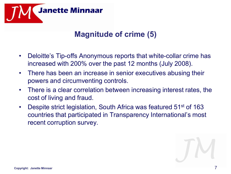

#### **Magnitude of crime (5)**

- Deloitte's Tip-offs Anonymous reports that white-collar crime has increased with 200% over the past 12 months (July 2008).
- There has been an increase in senior executives abusing their powers and circumventing controls.
- There is a clear correlation between increasing interest rates, the cost of living and fraud.
- Despite strict legislation, South Africa was featured 51<sup>st</sup> of 163 countries that participated in Transparency International's most recent corruption survey.

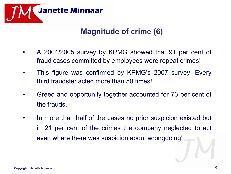

#### **Magnitude of crime (6)**

- A 2004/2005 survey by KPMG showed that 91 per cent of fraud cases committed by employees were repeat crimes!
- This figure was confirmed by KPMG's 2007 survey. Every third fraudster acted more than 50 times!
- Greed and opportunity together accounted for 73 per cent of the frauds.
- In more than half of the cases no prior suspicion existed but in 21 per cent of the crimes the company neglected to act even where there was suspicion about wrongdoing!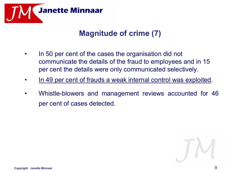

#### **Magnitude of crime (7)**

- In 50 per cent of the cases the organisation did not communicate the details of the fraud to employees and in 15 per cent the details were only communicated selectively.
- In 49 per cent of frauds a weak internal control was exploited.
- Whistle-blowers and management reviews accounted for 46 per cent of cases detected.

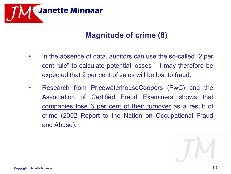

#### **Magnitude of crime (8)**

- In the absence of data, auditors can use the so-called "2 per cent rule" to calculate potential losses - it may therefore be expected that 2 per cent of sales will be lost to fraud.
- Research from PricewaterhouseCoopers (PwC) and the Association of Certified Fraud Examiners shows that companies lose 6 per cent of their turnover as a result of crime (2002 Report to the Nation on Occupational Fraud and Abuse).

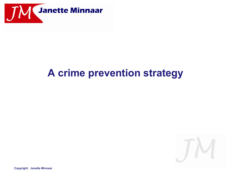

## **A crime prevention strategy**

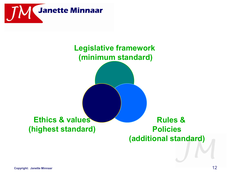

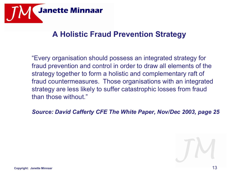

#### **A Holistic Fraud Prevention Strategy**

"Every organisation should possess an integrated strategy for fraud prevention and control in order to draw all elements of the strategy together to form a holistic and complementary raft of fraud countermeasures. Those organisations with an integrated strategy are less likely to suffer catastrophic losses from fraud than those without."

*Source: David Cafferty CFE The White Paper, Nov/Dec 2003, page 25*

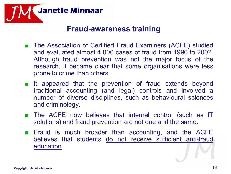

#### **Fraud-awareness training**

- The Association of Certified Fraud Examiners (ACFE) studied and evaluated almost 4 000 cases of fraud from 1996 to 2002. Although fraud prevention was not the major focus of the research, it became clear that some organisations were less prone to crime than others.
- It appeared that the prevention of fraud extends beyond traditional accounting (and legal) controls and involved a number of diverse disciplines, such as behavioural sciences and criminology.
- The ACFE now believes that internal control (such as IT solutions) and fraud prevention are not one and the same.
- Fraud is much broader than accounting, and the ACFE believes that students do not receive sufficient anti-fraud education.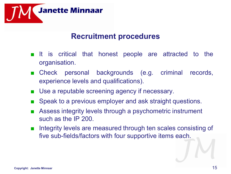

#### **Recruitment procedures**

- It is critical that honest people are attracted to the organisation.
- Check personal backgrounds (e.g. criminal records, experience levels and qualifications).
- Use a reputable screening agency if necessary.
- Speak to a previous employer and ask straight questions.
- Assess integrity levels through a psychometric instrument such as the IP 200.
- Integrity levels are measured through ten scales consisting of five sub-fields/factors with four supportive items each.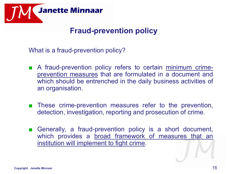

#### **Fraud-prevention policy**

What is a fraud-prevention policy?

- A fraud-prevention policy refers to certain minimum crimeprevention measures that are formulated in a document and which should be entrenched in the daily business activities of an organisation.
- These crime-prevention measures refer to the prevention, detection, investigation, reporting and prosecution of crime.
- Generally, a fraud-prevention policy is a short document, which provides a broad framework of measures that an institution will implement to fight crime.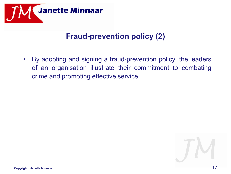

#### **Fraud-prevention policy (2)**

• By adopting and signing a fraud-prevention policy, the leaders of an organisation illustrate their commitment to combating crime and promoting effective service.

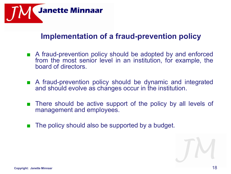

#### **Implementation of a fraud-prevention policy**

- A fraud-prevention policy should be adopted by and enforced from the most senior level in an institution, for example, the board of directors.
- A fraud-prevention policy should be dynamic and integrated and should evolve as changes occur in the institution.
- There should be active support of the policy by all levels of management and employees.
- The policy should also be supported by a budget.

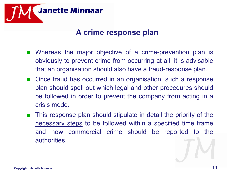

#### **A crime response plan**

- Whereas the major objective of a crime-prevention plan is obviously to prevent crime from occurring at all, it is advisable that an organisation should also have a fraud-response plan.
- Once fraud has occurred in an organisation, such a response plan should spell out which legal and other procedures should be followed in order to prevent the company from acting in a crisis mode.
- This response plan should stipulate in detail the priority of the necessary steps to be followed within a specified time frame and how commercial crime should be reported to the authorities.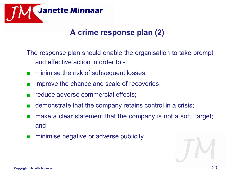

#### **A crime response plan (2)**

The response plan should enable the organisation to take prompt and effective action in order to -

- minimise the risk of subsequent losses;
- improve the chance and scale of recoveries;
- reduce adverse commercial effects;
- demonstrate that the company retains control in a crisis;
- make a clear statement that the company is not a soft target; and
- minimise negative or adverse publicity.

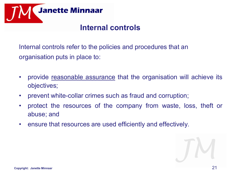

#### **Internal controls**

Internal controls refer to the policies and procedures that an organisation puts in place to:

- provide reasonable assurance that the organisation will achieve its objectives;
- prevent white-collar crimes such as fraud and corruption;
- protect the resources of the company from waste, loss, theft or abuse; and
- ensure that resources are used efficiently and effectively.

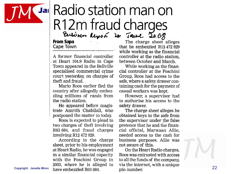

# Jail Radio station man on R12m fraud charges

**From Sapa** Cape Town

A former financial controller at Heart 104.9 Radio in Cape Town appeared in the Bellville specialised commercial crime court yesterday, on charges of theft and fraud.

Mario Roos earlier fled the country after allegedly embezzling millions of rands from the radio station.

He appeared before magistrate Amrith Chabilall, who postponed the matter to today.

Roos is expected to plead to two charges of theft involving R63 684, and fraud charges involving R12 472 929.

According to the charge sheet, prior to his employment at Heart Radio, he was engaged in a similar financial capacity with the Foschini Group in

The charge sheet alleges that he embezzled R12 472 929 while working as the financial controller at the radio station. between October and March.

While working as the financial controller at the Foschini Group, Roos had access to the safe, where a safety drawer containing cash for the payment of casual workers was kept.

However, a supervisor had to authorise his access to the safety drawer.

The charge sheet alleges he obtained keys to the safe from the supervisor under the false pretence that he and the financial official, Marwaan Allie, needed access to the cash for business purposes. Allie was not aware of this.

On the Heart Radio charges. Roos was entrusted with access to all the funds of the company. <sup>2003</sup>, where he is alleged to via the internet, with a unique<br>copyright: Janette Minnand have embezzled R63 684. pin number.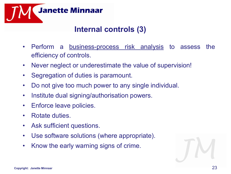

#### **Internal controls (3)**

- Perform a business-process risk analysis to assess the efficiency of controls.
- Never neglect or underestimate the value of supervision!
- Segregation of duties is paramount.
- Do not give too much power to any single individual.
- Institute dual signing/authorisation powers.
- Enforce leave policies.
- Rotate duties.
- Ask sufficient questions.
- Use software solutions (where appropriate).
- Know the early warning signs of crime.

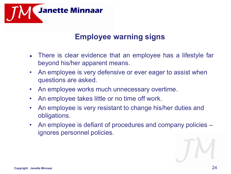

#### **Employee warning signs**

- There is clear evidence that an employee has a lifestyle far beyond his/her apparent means.
- An employee is very defensive or ever eager to assist when questions are asked.
- An employee works much unnecessary overtime.
- An employee takes little or no time off work.
- An employee is very resistant to change his/her duties and obligations.
- An employee is defiant of procedures and company policies ignores personnel policies.

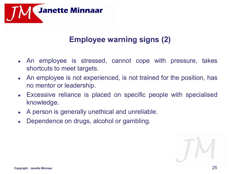

#### **Employee warning signs (2)**

- An employee is stressed, cannot cope with pressure, takes shortcuts to meet targets.
- An employee is not experienced, is not trained for the position, has no mentor or leadership.
- Excessive reliance is placed on specific people with specialised knowledge.
- A person is generally unethical and unreliable.
- Dependence on drugs, alcohol or gambling.

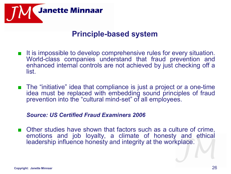

#### **Principle-based system**

- It is impossible to develop comprehensive rules for every situation. World-class companies understand that fraud prevention and enhanced internal controls are not achieved by just checking off a list.
- The "initiative" idea that compliance is just a project or a one-time idea must be replaced with embedding sound principles of fraud prevention into the "cultural mind-set" of all employees.

#### *Source: US Certified Fraud Examiners 2006*

Other studies have shown that factors such as a culture of crime, emotions and job loyalty, a climate of honesty and ethical leadership influence honesty and integrity at the workplace.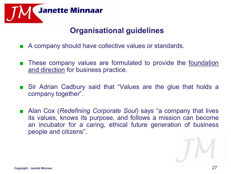

#### **Organisational guidelines**

- A company should have collective values or standards.
- These company values are formulated to provide the foundation and direction for business practice.
- Sir Adrian Cadbury said that "Values are the glue that holds a company together".
- Alan Cox (*Redefining Corporate Soul*) says "a company that lives its values, knows its purpose, and follows a mission can become an incubator for a caring, ethical future generation of business people and citizens".

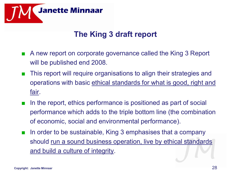

#### **The King 3 draft report**

- A new report on corporate governance called the King 3 Report will be published end 2008.
- This report will require organisations to align their strategies and operations with basic ethical standards for what is good, right and fair.
- In the report, ethics performance is positioned as part of social performance which adds to the triple bottom line (the combination of economic, social and environmental performance).
- In order to be sustainable, King 3 emphasises that a company should run a sound business operation, live by ethical standards and build a culture of integrity.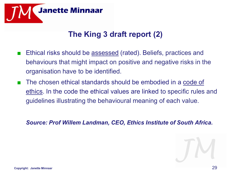

#### **The King 3 draft report (2)**

- Ethical risks should be assessed (rated). Beliefs, practices and behaviours that might impact on positive and negative risks in the organisation have to be identified.
- The chosen ethical standards should be embodied in a code of ethics. In the code the ethical values are linked to specific rules and guidelines illustrating the behavioural meaning of each value.

*Source: Prof Willem Landman, CEO, Ethics Institute of South Africa.*

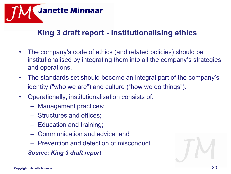

#### **King 3 draft report - Institutionalising ethics**

- The company's code of ethics (and related policies) should be institutionalised by integrating them into all the company's strategies and operations.
- The standards set should become an integral part of the company's identity ("who we are") and culture ("how we do things").
- Operationally, institutionalisation consists of:
	- Management practices;
	- Structures and offices;
	- Education and training;
	- Communication and advice, and
	- Prevention and detection of misconduct.

*Source: King 3 draft report*

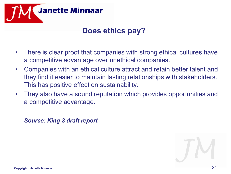

#### **Does ethics pay?**

- There is clear proof that companies with strong ethical cultures have a competitive advantage over unethical companies.
- Companies with an ethical culture attract and retain better talent and they find it easier to maintain lasting relationships with stakeholders. This has positive effect on sustainability.
- They also have a sound reputation which provides opportunities and a competitive advantage.

*Source: King 3 draft report*

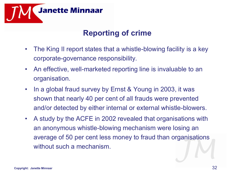

#### **Reporting of crime**

- The King II report states that a whistle-blowing facility is a key corporate-governance responsibility.
- An effective, well-marketed reporting line is invaluable to an organisation.
- In a global fraud survey by Ernst & Young in 2003, it was shown that nearly 40 per cent of all frauds were prevented and/or detected by either internal or external whistle-blowers.
- A study by the ACFE in 2002 revealed that organisations with an anonymous whistle-blowing mechanism were losing an average of 50 per cent less money to fraud than organisations without such a mechanism.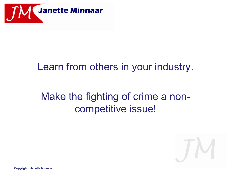

## Learn from others in your industry.

## Make the fighting of crime a noncompetitive issue!

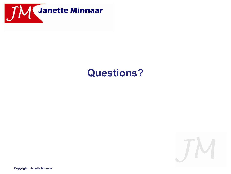

## **Questions?**